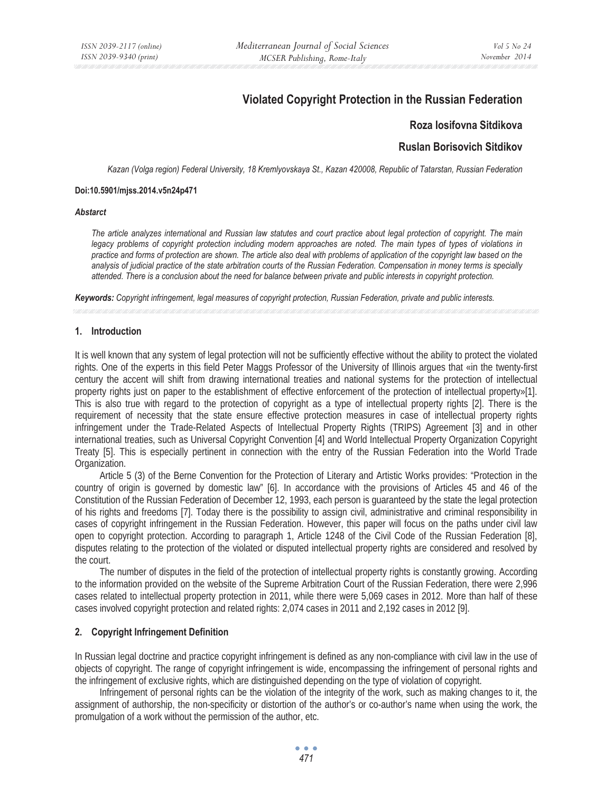# **Violated Copyright Protection in the Russian Federation**

## **Roza Iosifovna Sitdikova**

## **Ruslan Borisovich Sitdikov**

*Kazan (Volga region) Federal University, 18 Kremlyovskaya St., Kazan 420008, Republic of Tatarstan, Russian Federation* 

#### **Doi:10.5901/mjss.2014.v5n24p471**

#### *Abstarct*

*The article analyzes international and Russian law statutes and court practice about legal protection of copyright. The main legacy problems of copyright protection including modern approaches are noted. The main types of types of violations in practice and forms of protection are shown. The article also deal with problems of application of the copyright law based on the analysis of judicial practice of the state arbitration courts of the Russian Federation. Compensation in money terms is specially attended. There is a conclusion about the need for balance between private and public interests in copyright protection.* 

*Keywords: Copyright infringement, legal measures of copyright protection, Russian Federation, private and public interests.*

#### **1. Introduction**

It is well known that any system of legal protection will not be sufficiently effective without the ability to protect the violated rights. One of the experts in this field Peter Maggs Professor of the University of Illinois argues that «in the twenty-first century the accent will shift from drawing international treaties and national systems for the protection of intellectual property rights just on paper to the establishment of effective enforcement of the protection of intellectual property»[1]. This is also true with regard to the protection of copyright as a type of intellectual property rights [2]. There is the requirement of necessity that the state ensure effective protection measures in case of intellectual property rights infringement under the Trade-Related Aspects of Intellectual Property Rights (TRIPS) Agreement [3] and in other international treaties, such as Universal Copyright Convention [4] and World Intellectual Property Organization Copyright Treaty [5]. This is especially pertinent in connection with the entry of the Russian Federation into the World Trade Organization.

Article 5 (3) of the Berne Convention for the Protection of Literary and Artistic Works provides: "Protection in the country of origin is governed by domestic law" [6]. In accordance with the provisions of Articles 45 and 46 of the Constitution of the Russian Federation of December 12, 1993, each person is guaranteed by the state the legal protection of his rights and freedoms [7]. Today there is the possibility to assign civil, administrative and criminal responsibility in cases of copyright infringement in the Russian Federation. However, this paper will focus on the paths under civil law open to copyright protection. According to paragraph 1, Article 1248 of the Civil Code of the Russian Federation [8], disputes relating to the protection of the violated or disputed intellectual property rights are considered and resolved by the court.

The number of disputes in the field of the protection of intellectual property rights is constantly growing. According to the information provided on the website of the Supreme Arbitration Court of the Russian Federation, there were 2,996 cases related to intellectual property protection in 2011, while there were 5,069 cases in 2012. More than half of these cases involved copyright protection and related rights: 2,074 cases in 2011 and 2,192 cases in 2012 [9].

#### **2. Copyright Infringement Definition**

In Russian legal doctrine and practice copyright infringement is defined as any non-compliance with civil law in the use of objects of copyright. The range of copyright infringement is wide, encompassing the infringement of personal rights and the infringement of exclusive rights, which are distinguished depending on the type of violation of copyright.

Infringement of personal rights can be the violation of the integrity of the work, such as making changes to it, the assignment of authorship, the non-specificity or distortion of the author's or co-author's name when using the work, the promulgation of a work without the permission of the author, etc.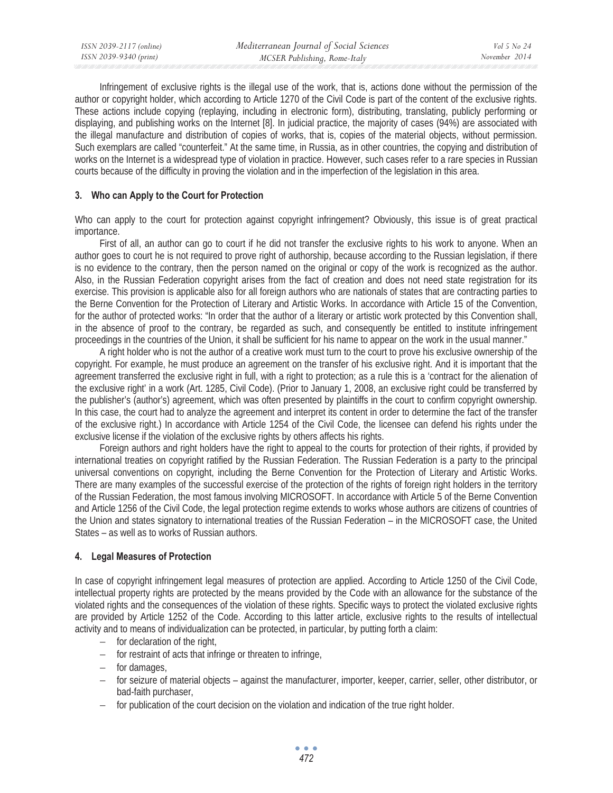| ISSN 2039-2117 (online) | Mediterranean Journal of Social Sciences | Vol 5 No 24   |
|-------------------------|------------------------------------------|---------------|
| ISSN 2039-9340 (print)  | MCSER Publishing, Rome-Italy             | November 2014 |

Infringement of exclusive rights is the illegal use of the work, that is, actions done without the permission of the author or copyright holder, which according to Article 1270 of the Civil Code is part of the content of the exclusive rights. These actions include copying (replaying, including in electronic form), distributing, translating, publicly performing or displaying, and publishing works on the Internet [8]. In judicial practice, the majority of cases (94%) are associated with the illegal manufacture and distribution of copies of works, that is, copies of the material objects, without permission. Such exemplars are called "counterfeit." At the same time, in Russia, as in other countries, the copying and distribution of works on the Internet is a widespread type of violation in practice. However, such cases refer to a rare species in Russian courts because of the difficulty in proving the violation and in the imperfection of the legislation in this area.

#### **3. Who can Apply to the Court for Protection**

Who can apply to the court for protection against copyright infringement? Obviously, this issue is of great practical importance.

First of all, an author can go to court if he did not transfer the exclusive rights to his work to anyone. When an author goes to court he is not required to prove right of authorship, because according to the Russian legislation, if there is no evidence to the contrary, then the person named on the original or copy of the work is recognized as the author. Also, in the Russian Federation copyright arises from the fact of creation and does not need state registration for its exercise. This provision is applicable also for all foreign authors who are nationals of states that are contracting parties to the Berne Convention for the Protection of Literary and Artistic Works. In accordance with Article 15 of the Convention, for the author of protected works: "In order that the author of a literary or artistic work protected by this Convention shall, in the absence of proof to the contrary, be regarded as such, and consequently be entitled to institute infringement proceedings in the countries of the Union, it shall be sufficient for his name to appear on the work in the usual manner."

A right holder who is not the author of a creative work must turn to the court to prove his exclusive ownership of the copyright. For example, he must produce an agreement on the transfer of his exclusive right. And it is important that the agreement transferred the exclusive right in full, with a right to protection; as a rule this is a 'contract for the alienation of the exclusive right' in a work (Art. 1285, Civil Code). (Prior to January 1, 2008, an exclusive right could be transferred by the publisher's (author's) agreement, which was often presented by plaintiffs in the court to confirm copyright ownership. In this case, the court had to analyze the agreement and interpret its content in order to determine the fact of the transfer of the exclusive right.) In accordance with Article 1254 of the Civil Code, the licensee can defend his rights under the exclusive license if the violation of the exclusive rights by others affects his rights.

Foreign authors and right holders have the right to appeal to the courts for protection of their rights, if provided by international treaties on copyright ratified by the Russian Federation. The Russian Federation is a party to the principal universal conventions on copyright, including the Berne Convention for the Protection of Literary and Artistic Works. There are many examples of the successful exercise of the protection of the rights of foreign right holders in the territory of the Russian Federation, the most famous involving MICROSOFT. In accordance with Article 5 of the Berne Convention and Article 1256 of the Civil Code, the legal protection regime extends to works whose authors are citizens of countries of the Union and states signatory to international treaties of the Russian Federation – in the MICROSOFT case, the United States – as well as to works of Russian authors.

#### **4. Legal Measures of Protection**

In case of copyright infringement legal measures of protection are applied. According to Article 1250 of the Civil Code, intellectual property rights are protected by the means provided by the Code with an allowance for the substance of the violated rights and the consequences of the violation of these rights. Specific ways to protect the violated exclusive rights are provided by Article 1252 of the Code. According to this latter article, exclusive rights to the results of intellectual activity and to means of individualization can be protected, in particular, by putting forth a claim:

- − for declaration of the right,
- − for restraint of acts that infringe or threaten to infringe,
- − for damages,
- − for seizure of material objects against the manufacturer, importer, keeper, carrier, seller, other distributor, or bad-faith purchaser,
- − for publication of the court decision on the violation and indication of the true right holder.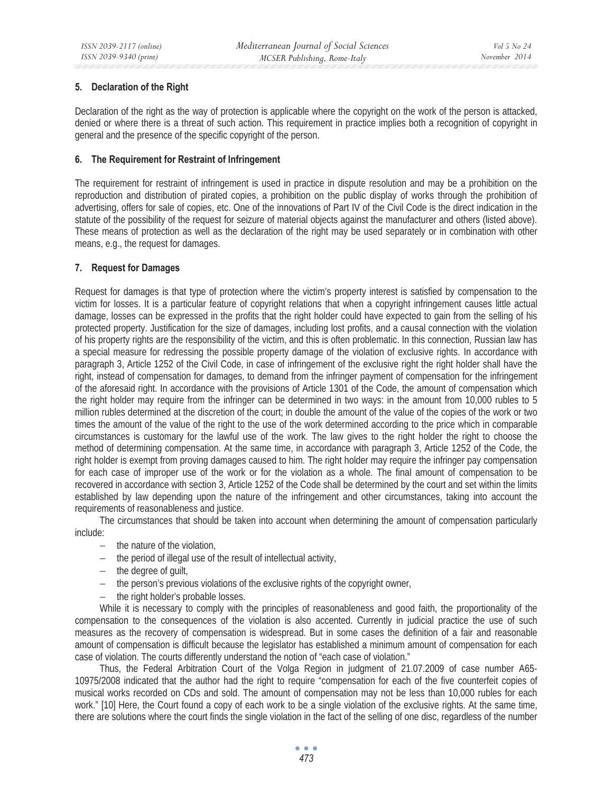## **5. Declaration of the Right**

Declaration of the right as the way of protection is applicable where the copyright on the work of the person is attacked, denied or where there is a threat of such action. This requirement in practice implies both a recognition of copyright in general and the presence of the specific copyright of the person.

## **6. The Requirement for Restraint of Infringement**

The requirement for restraint of infringement is used in practice in dispute resolution and may be a prohibition on the reproduction and distribution of pirated copies, a prohibition on the public display of works through the prohibition of advertising, offers for sale of copies, etc. One of the innovations of Part IV of the Civil Code is the direct indication in the statute of the possibility of the request for seizure of material objects against the manufacturer and others (listed above). These means of protection as well as the declaration of the right may be used separately or in combination with other means, e.g., the request for damages.

## **7. Request for Damages**

Request for damages is that type of protection where the victim's property interest is satisfied by compensation to the victim for losses. It is a particular feature of copyright relations that when a copyright infringement causes little actual damage, losses can be expressed in the profits that the right holder could have expected to gain from the selling of his protected property. Justification for the size of damages, including lost profits, and a causal connection with the violation of his property rights are the responsibility of the victim, and this is often problematic. In this connection, Russian law has a special measure for redressing the possible property damage of the violation of exclusive rights*.* In accordance with paragraph 3, Article 1252 of the Civil Code, in case of infringement of the exclusive right the right holder shall have the right, instead of compensation for damages, to demand from the infringer payment of compensation for the infringement of the aforesaid right. In accordance with the provisions of Article 1301 of the Code, the amount of compensation which the right holder may require from the infringer can be determined in two ways: in the amount from 10,000 rubles to 5 million rubles determined at the discretion of the court; in double the amount of the value of the copies of the work or two times the amount of the value of the right to the use of the work determined according to the price which in comparable circumstances is customary for the lawful use of the work. The law gives to the right holder the right to choose the method of determining compensation. At the same time, in accordance with paragraph 3, Article 1252 of the Code, the right holder is exempt from proving damages caused to him. The right holder may require the infringer pay compensation for each case of improper use of the work or for the violation as a whole. The final amount of compensation to be recovered in accordance with section 3, Article 1252 of the Code shall be determined by the court and set within the limits established by law depending upon the nature of the infringement and other circumstances, taking into account the requirements of reasonableness and justice.

The circumstances that should be taken into account when determining the amount of compensation particularly include:

- − the nature of the violation,
- − the period of illegal use of the result of intellectual activity,
- − the degree of guilt,
- − the person's previous violations of the exclusive rights of the copyright owner,
- − the right holder's probable losses.

While it is necessary to comply with the principles of reasonableness and good faith, the proportionality of the compensation to the consequences of the violation is also accented. Currently in judicial practice the use of such measures as the recovery of compensation is widespread. But in some cases the definition of a fair and reasonable amount of compensation is difficult because the legislator has established a minimum amount of compensation for each case of violation. The courts differently understand the notion of "each case of violation."

Thus, the Federal Arbitration Court of the Volga Region in judgment of 21.07.2009 of case number A65- 10975/2008 indicated that the author had the right to require "compensation for each of the five counterfeit copies of musical works recorded on CDs and sold. The amount of compensation may not be less than 10,000 rubles for each work." [10] Here, the Court found a copy of each work to be a single violation of the exclusive rights. At the same time, there are solutions where the court finds the single violation in the fact of the selling of one disc, regardless of the number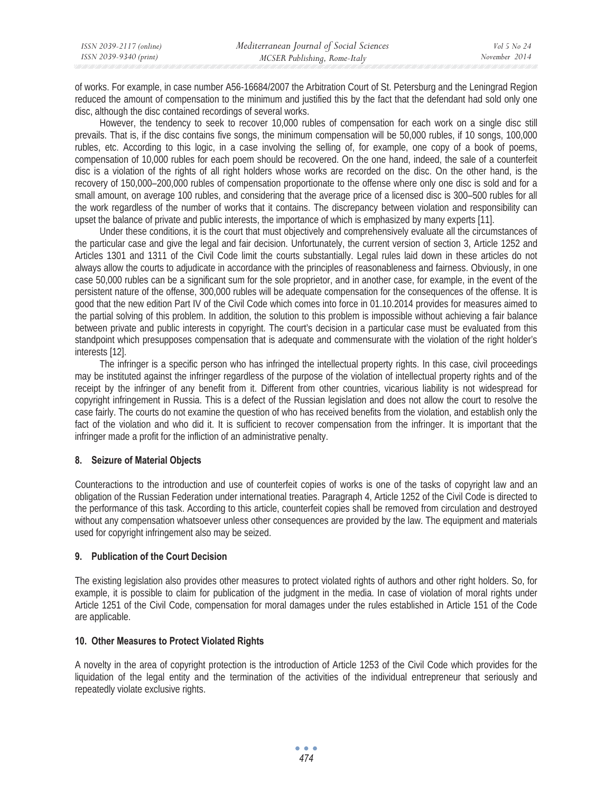| ISSN 2039-2117 (online) | Mediterranean Journal of Social Sciences | Vol 5 No 24   |
|-------------------------|------------------------------------------|---------------|
| ISSN 2039-9340 (print)  | MCSER Publishing, Rome-Italy             | November 2014 |
|                         |                                          |               |

of works. For example, in case number A56-16684/2007 the Arbitration Court of St. Petersburg and the Leningrad Region reduced the amount of compensation to the minimum and justified this by the fact that the defendant had sold only one disc, although the disc contained recordings of several works.

However, the tendency to seek to recover 10,000 rubles of compensation for each work on a single disc still prevails. That is, if the disc contains five songs, the minimum compensation will be 50,000 rubles, if 10 songs, 100,000 rubles, etc. According to this logic, in a case involving the selling of, for example, one copy of a book of poems, compensation of 10,000 rubles for each poem should be recovered. On the one hand, indeed, the sale of a counterfeit disc is a violation of the rights of all right holders whose works are recorded on the disc. On the other hand, is the recovery of 150,000–200,000 rubles of compensation proportionate to the offense where only one disc is sold and for a small amount, on average 100 rubles, and considering that the average price of a licensed disc is 300–500 rubles for all the work regardless of the number of works that it contains. The discrepancy between violation and responsibility can upset the balance of private and public interests, the importance of which is emphasized by many experts [11].

Under these conditions, it is the court that must objectively and comprehensively evaluate all the circumstances of the particular case and give the legal and fair decision. Unfortunately, the current version of section 3, Article 1252 and Articles 1301 and 1311 of the Civil Code limit the courts substantially. Legal rules laid down in these articles do not always allow the courts to adjudicate in accordance with the principles of reasonableness and fairness. Obviously, in one case 50,000 rubles can be a significant sum for the sole proprietor, and in another case, for example, in the event of the persistent nature of the offense, 300,000 rubles will be adequate compensation for the consequences of the offense. It is good that the new edition Part IV of the Civil Code which comes into force in 01.10.2014 provides for measures aimed to the partial solving of this problem*.* In addition, the solution to this problem is impossible without achieving a fair balance between private and public interests in copyright. The court's decision in a particular case must be evaluated from this standpoint which presupposes compensation that is adequate and commensurate with the violation of the right holder's interests [12].

The infringer is a specific person who has infringed the intellectual property rights. In this case, civil proceedings may be instituted against the infringer regardless of the purpose of the violation of intellectual property rights and of the receipt by the infringer of any benefit from it. Different from other countries, vicarious liability is not widespread for copyright infringement in Russia. This is a defect of the Russian legislation and does not allow the court to resolve the case fairly. The courts do not examine the question of who has received benefits from the violation, and establish only the fact of the violation and who did it. It is sufficient to recover compensation from the infringer. It is important that the infringer made a profit for the infliction of an administrative penalty.

## **8. Seizure of Material Objects**

Counteractions to the introduction and use of counterfeit copies of works is one of the tasks of copyright law and an obligation of the Russian Federation under international treaties. Paragraph 4, Article 1252 of the Civil Code is directed to the performance of this task. According to this article, counterfeit copies shall be removed from circulation and destroyed without any compensation whatsoever unless other consequences are provided by the law. The equipment and materials used for copyright infringement also may be seized.

#### **9. Publication of the Court Decision**

The existing legislation also provides other measures to protect violated rights of authors and other right holders. So, for example, it is possible to claim for publication of the judgment in the media. In case of violation of moral rights under Article 1251 of the Civil Code, compensation for moral damages under the rules established in Article 151 of the Code are applicable.

#### **10. Other Measures to Protect Violated Rights**

A novelty in the area of copyright protection is the introduction of Article 1253 of the Civil Code which provides for the liquidation of the legal entity and the termination of the activities of the individual entrepreneur that seriously and repeatedly violate exclusive rights.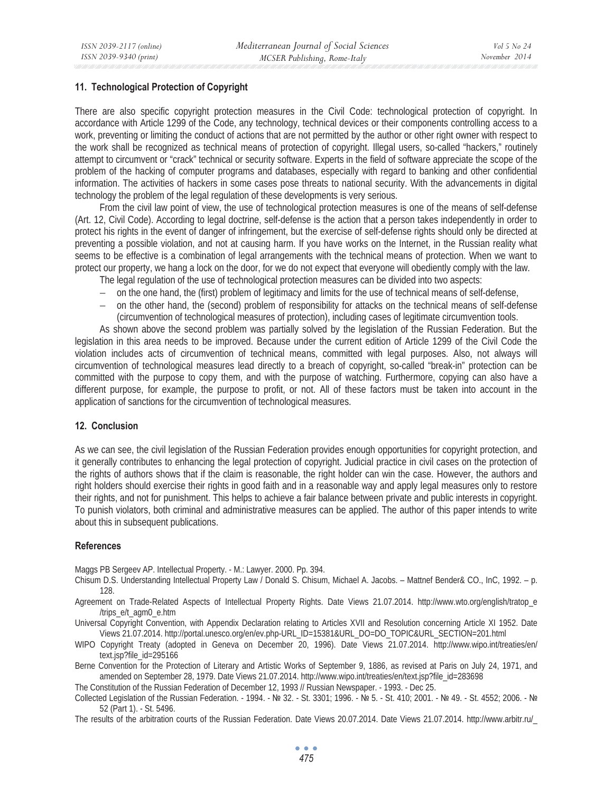#### **11. Technological Protection of Copyright**

There are also specific copyright protection measures in the Civil Code: technological protection of copyright. In accordance with Article 1299 of the Code, any technology, technical devices or their components controlling access to a work, preventing or limiting the conduct of actions that are not permitted by the author or other right owner with respect to the work shall be recognized as technical means of protection of copyright. Illegal users, so-called "hackers," routinely attempt to circumvent or "crack" technical or security software. Experts in the field of software appreciate the scope of the problem of the hacking of computer programs and databases, especially with regard to banking and other confidential information. The activities of hackers in some cases pose threats to national security. With the advancements in digital technology the problem of the legal regulation of these developments is very serious.

From the civil law point of view, the use of technological protection measures is one of the means of self-defense (Art. 12, Civil Code). According to legal doctrine, self-defense is the action that a person takes independently in order to protect his rights in the event of danger of infringement, but the exercise of self-defense rights should only be directed at preventing a possible violation, and not at causing harm. If you have works on the Internet, in the Russian reality what seems to be effective is a combination of legal arrangements with the technical means of protection. When we want to protect our property, we hang a lock on the door, for we do not expect that everyone will obediently comply with the law.

The legal regulation of the use of technological protection measures can be divided into two aspects:

- − on the one hand, the (first) problem of legitimacy and limits for the use of technical means of self-defense,
- − on the other hand, the (second) problem of responsibility for attacks on the technical means of self-defense (circumvention of technological measures of protection), including cases of legitimate circumvention tools.

As shown above the second problem was partially solved by the legislation of the Russian Federation. But the legislation in this area needs to be improved. Because under the current edition of Article 1299 of the Civil Code the violation includes acts of circumvention of technical means, committed with legal purposes. Also, not always will circumvention of technological measures lead directly to a breach of copyright, so-called "break-in" protection can be committed with the purpose to copy them, and with the purpose of watching. Furthermore, copying can also have a different purpose, for example, the purpose to profit, or not. All of these factors must be taken into account in the application of sanctions for the circumvention of technological measures.

#### **12. Conclusion**

As we can see, the civil legislation of the Russian Federation provides enough opportunities for copyright protection, and it generally contributes to enhancing the legal protection of copyright. Judicial practice in civil cases on the protection of the rights of authors shows that if the claim is reasonable, the right holder can win the case. However, the authors and right holders should exercise their rights in good faith and in a reasonable way and apply legal measures only to restore their rights, and not for punishment. This helps to achieve a fair balance between private and public interests in copyright. To punish violators, both criminal and administrative measures can be applied. The author of this paper intends to write about this in subsequent publications.

#### **References**

Maggs PB Sergeev AP. Intellectual Property. - M.: Lawyer. 2000. Pp. 394.

- Chisum D.S. Understanding Intellectual Property Law / Donald S. Chisum, Michael A. Jacobs. Mattnef Bender& CO., InC, 1992. p. 128.
- Agreement on Trade-Related Aspects of Intellectual Property Rights. Date Views 21.07.2014. http://www.wto.org/english/tratop\_e /trips\_e/t\_agm0\_e.htm
- Universal Copyright Convention, with Appendix Declaration relating to Articles XVII and Resolution concerning Article XI 1952. Date Views 21.07.2014. http://portal.unesco.org/en/ev.php-URL\_ID=15381&URL\_DO=DO\_TOPIC&URL\_SECTION=201.html
- WIPO Copyright Treaty (adopted in Geneva on December 20, 1996). Date Views 21.07.2014. http://www.wipo.int/treaties/en/ text.jsp?file\_id=295166
- Berne Convention for the Protection of Literary and Artistic Works of September 9, 1886, as revised at Paris on July 24, 1971, and amended on September 28, 1979. Date Views 21.07.2014. http://www.wipo.int/treaties/en/text.jsp?file\_id=283698
- The Constitution of the Russian Federation of December 12, 1993 // Russian Newspaper. 1993. Dec 25.
- Collected Legislation of the Russian Federation. 1994. № 32. St. 3301; 1996. № 5. St. 410; 2001. № 49. St. 4552; 2006. № 52 (Part 1). - St. 5496.

The results of the arbitration courts of the Russian Federation. Date Views 20.07.2014. Date Views 21.07.2014. http://www.arbitr.ru/\_